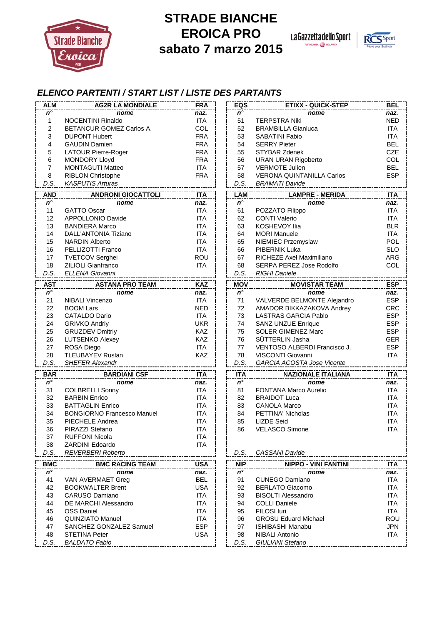

## **STRADE BIANCHE EROICA PRO sabato 7 marzo 2015**

La Gazzetta dello Sport



## *ELENCO PARTENTI / START LIST / LISTE DES PARTANTS*

| $n^{\circ}$<br>$n^{\circ}$<br>naz.<br>nome<br>nome<br><b>ITA</b><br>51<br><b>NED</b><br>$\mathbf{1}$<br><b>NOCENTINI Rinaldo</b><br><b>TERPSTRA Niki</b><br>2<br>COL<br>BETANCUR GOMEZ Carlos A.<br>52<br><b>ITA</b><br><b>BRAMBILLA Gianluca</b><br>3<br><b>FRA</b><br>53<br><b>ITA</b><br><b>DUPONT Hubert</b><br><b>SABATINI Fabio</b><br><b>FRA</b><br><b>SERRY Pieter</b><br><b>BEL</b><br>4<br><b>GAUDIN Damien</b><br>54<br>5<br><b>FRA</b><br><b>CZE</b><br><b>LATOUR Pierre-Roger</b><br>55<br><b>STYBAR Zdenek</b><br>6<br><b>FRA</b><br><b>COL</b><br>56<br><b>URAN URAN Rigoberto</b><br><b>MONDORY Lloyd</b><br>$\overline{7}$<br><b>ITA</b><br>57<br><b>VERMOTE Julien</b><br><b>BEL</b><br><b>MONTAGUTI Matteo</b><br>8<br><b>FRA</b><br>58<br><b>ESP</b><br><b>RIBLON Christophe</b><br><b>VERONA QUINTANILLA Carlos</b><br>D.S.<br><b>KASPUTIS Arturas</b><br>D.S.<br><b>BRAMATI Davide</b><br><b>ITA</b><br><b>AND</b><br><b>ANDRONI GIOCATTOLI</b><br><b>ITA</b><br><b>LAM</b><br><b>LAMPRE - MERIDA</b><br>$n^{\circ}$<br>$n^{\circ}$<br>nome<br>naz.<br>nome<br>naz.<br><b>ITA</b><br><b>ITA</b><br>11<br><b>GATTO Oscar</b><br>61<br>POZZATO Filippo<br>12<br>62<br><b>ITA</b><br>APPOLLONIO Davide<br><b>ITA</b><br><b>CONTI Valerio</b><br>13<br>63<br><b>BLR</b><br><b>BANDIERA Marco</b><br><b>ITA</b><br><b>KOSHEVOY Ilia</b><br>14<br>DALL'ANTONIA Tiziano<br><b>ITA</b><br>64<br><b>MORI Manuele</b><br><b>ITA</b><br>15<br>65<br>NIEMIEC Przemyslaw<br><b>POL</b><br><b>NARDIN Alberto</b><br><b>ITA</b><br><b>SLO</b><br>16<br>PELLIZOTTI Franco<br><b>ITA</b><br>66<br>PIBERNIK Luka<br>17<br><b>ROU</b><br>67<br>RICHEZE Axel Maximiliano<br><b>ARG</b><br><b>TVETCOV Serghei</b><br>18<br>ZILIOLI Gianfranco<br><b>ITA</b><br>SERPA PEREZ Jose Rodolfo<br>COL<br>68<br>D.S.<br><b>ELLENA Giovanni</b><br>D.S.<br><b>RIGHI Daniele</b><br>--------------<br><b>KAZ</b><br><b>MOV</b><br><b>AST</b><br><b>ASTANA PRO TEAM</b><br><b>MOVISTAR TEAM</b><br>$n^{\circ}$<br>$\overline{n^{\circ}}$<br>nome<br>nome<br>naz.<br>naz.<br>21<br><b>ITA</b><br><b>NIBALI Vincenzo</b><br>71<br>VALVERDE BELMONTE Alejandro<br><b>ESP</b><br>22<br><b>NED</b><br><b>BOOM Lars</b><br>72<br>AMADOR BIKKAZAKOVA Andrey<br>23<br><b>CATALDO Dario</b><br><b>ITA</b><br>73<br><b>LASTRAS GARCIA Pablo</b><br><b>ESP</b><br><b>UKR</b><br><b>ESP</b><br>24<br><b>GRIVKO Andriy</b><br>74<br>SANZ UNZUE Enrique<br>KAZ<br>25<br><b>GRUZDEV Dmitriy</b><br>75<br><b>SOLER GIMENEZ Marc</b><br><b>ESP</b><br>26<br><b>KAZ</b><br>SÜTTERLIN Jasha<br>76<br><b>GER</b><br><b>LUTSENKO Alexey</b><br>27<br><b>ITA</b><br>VENTOSO ALBERDI Francisco J.<br><b>ESP</b><br>ROSA Diego<br>77<br>28<br><b>TLEUBAYEV Ruslan</b><br>KAZ<br>78<br>VISCONTI Giovanni<br><b>ITA</b><br>D.S.<br>D.S.<br><b>SHEFER Alexandr</b><br>GARCIA ACOSTA Jose Vicente<br><b>TTA</b><br><b>BAR</b><br><b>ITA</b><br><b>ITA</b><br><b>BARDIANI CSF</b><br><b>NAZIONALE ITALIANA</b><br>$n^{\circ}$<br>$n^{\circ}$<br>nome<br>naz.<br>nome<br>naz.<br><b>ITA</b><br><b>ITA</b><br>31<br>81<br><b>FONTANA Marco Aurelio</b><br><b>COLBRELLI Sonny</b><br>32<br><b>BARBIN Enrico</b><br><b>ITA</b><br>82<br><b>BRAIDOT Luca</b><br><b>ITA</b><br>33<br><b>ITA</b><br><b>BATTAGLIN Enrico</b><br><b>ITA</b><br>83<br><b>CANOLA Marco</b><br>34<br><b>BONGIORNO Francesco Manuel</b><br><b>ITA</b><br>84<br>PETTINA' Nicholas<br><b>ITA</b><br>35<br>PIECHELE Andrea<br><b>ITA</b><br><b>LIZDE Seid</b><br><b>ITA</b><br>85<br>36<br>86<br>PIRAZZI Stefano<br><b>ITA</b><br><b>VELASCO Simone</b><br><b>ITA</b><br><b>RUFFONI Nicola</b><br><b>ITA</b><br>37<br>38<br><b>ZARDINI Edoardo</b><br><b>ITA</b><br>D.S.<br><b>REVERBERI Roberto</b><br>CASSANI Davide<br>D.S.<br><b>USA</b><br><b>NIP</b><br><b>BMC</b><br><b>BMC RACING TEAM</b><br><b>NIPPO - VINI FANTINI</b><br>$n^{\circ}$<br>$n^{\circ}$<br>naz.<br>nome<br>nome<br>naz.<br><b>BEL</b><br><b>ITA</b><br>41<br>VAN AVERMAET Greg<br>91<br><b>CUNEGO Damiano</b><br><b>USA</b><br>42<br><b>BERLATO Giacomo</b><br><b>BOOKWALTER Brent</b><br>92<br>43<br>CARUSO Damiano<br><b>ITA</b><br>93<br><b>BISOLTI Alessandro</b><br><b>ITA</b><br>DE MARCHI Alessandro<br><b>ITA</b><br><b>COLLI Daniele</b><br><b>ITA</b><br>44<br>94<br>FILOSI luri<br><b>OSS Daniel</b><br><b>ITA</b><br><b>ITA</b><br>45<br>95<br><b>QUINZIATO Manuel</b><br>ITA<br><b>GROSU Eduard Michael</b><br>46<br>96<br><b>ESP</b><br>SANCHEZ GONZALEZ Samuel<br>97<br><b>ISHIBASHI Manabu</b><br><b>JPN</b><br>47<br>48<br><b>STETINA Peter</b><br><b>USA</b><br><b>NIBALI Antonio</b><br><b>ITA</b><br>98<br>D.S.<br><b>BALDATO Fabio</b><br>D.S.<br>GIULIANI Stefano | <b>ALM</b> | <b>AG2R LA MONDIALE</b> | <b>FRA</b> | EQS | <b>ETIXX - QUICK-STEP</b> | <b>BEL</b> |
|------------------------------------------------------------------------------------------------------------------------------------------------------------------------------------------------------------------------------------------------------------------------------------------------------------------------------------------------------------------------------------------------------------------------------------------------------------------------------------------------------------------------------------------------------------------------------------------------------------------------------------------------------------------------------------------------------------------------------------------------------------------------------------------------------------------------------------------------------------------------------------------------------------------------------------------------------------------------------------------------------------------------------------------------------------------------------------------------------------------------------------------------------------------------------------------------------------------------------------------------------------------------------------------------------------------------------------------------------------------------------------------------------------------------------------------------------------------------------------------------------------------------------------------------------------------------------------------------------------------------------------------------------------------------------------------------------------------------------------------------------------------------------------------------------------------------------------------------------------------------------------------------------------------------------------------------------------------------------------------------------------------------------------------------------------------------------------------------------------------------------------------------------------------------------------------------------------------------------------------------------------------------------------------------------------------------------------------------------------------------------------------------------------------------------------------------------------------------------------------------------------------------------------------------------------------------------------------------------------------------------------------------------------------------------------------------------------------------------------------------------------------------------------------------------------------------------------------------------------------------------------------------------------------------------------------------------------------------------------------------------------------------------------------------------------------------------------------------------------------------------------------------------------------------------------------------------------------------------------------------------------------------------------------------------------------------------------------------------------------------------------------------------------------------------------------------------------------------------------------------------------------------------------------------------------------------------------------------------------------------------------------------------------------------------------------------------------------------------------------------------------------------------------------------------------------------------------------------------------------------------------------------------------------------------------------------------------------------------------------------------------------------------------------------------------------------------------------------------------------------------------------------------------------------------------------------------------------------------------------------------------------------------------------------------------------------------------------------------------------------------------------------------------------------------------------------------------------------------------------------------------------------------------------------------------------------------------------------------------------------------------------------------------------------------------------|------------|-------------------------|------------|-----|---------------------------|------------|
|                                                                                                                                                                                                                                                                                                                                                                                                                                                                                                                                                                                                                                                                                                                                                                                                                                                                                                                                                                                                                                                                                                                                                                                                                                                                                                                                                                                                                                                                                                                                                                                                                                                                                                                                                                                                                                                                                                                                                                                                                                                                                                                                                                                                                                                                                                                                                                                                                                                                                                                                                                                                                                                                                                                                                                                                                                                                                                                                                                                                                                                                                                                                                                                                                                                                                                                                                                                                                                                                                                                                                                                                                                                                                                                                                                                                                                                                                                                                                                                                                                                                                                                                                                                                                                                                                                                                                                                                                                                                                                                                                                                                                                                                                          |            |                         |            |     |                           | naz.       |
|                                                                                                                                                                                                                                                                                                                                                                                                                                                                                                                                                                                                                                                                                                                                                                                                                                                                                                                                                                                                                                                                                                                                                                                                                                                                                                                                                                                                                                                                                                                                                                                                                                                                                                                                                                                                                                                                                                                                                                                                                                                                                                                                                                                                                                                                                                                                                                                                                                                                                                                                                                                                                                                                                                                                                                                                                                                                                                                                                                                                                                                                                                                                                                                                                                                                                                                                                                                                                                                                                                                                                                                                                                                                                                                                                                                                                                                                                                                                                                                                                                                                                                                                                                                                                                                                                                                                                                                                                                                                                                                                                                                                                                                                                          |            |                         |            |     |                           |            |
|                                                                                                                                                                                                                                                                                                                                                                                                                                                                                                                                                                                                                                                                                                                                                                                                                                                                                                                                                                                                                                                                                                                                                                                                                                                                                                                                                                                                                                                                                                                                                                                                                                                                                                                                                                                                                                                                                                                                                                                                                                                                                                                                                                                                                                                                                                                                                                                                                                                                                                                                                                                                                                                                                                                                                                                                                                                                                                                                                                                                                                                                                                                                                                                                                                                                                                                                                                                                                                                                                                                                                                                                                                                                                                                                                                                                                                                                                                                                                                                                                                                                                                                                                                                                                                                                                                                                                                                                                                                                                                                                                                                                                                                                                          |            |                         |            |     |                           |            |
|                                                                                                                                                                                                                                                                                                                                                                                                                                                                                                                                                                                                                                                                                                                                                                                                                                                                                                                                                                                                                                                                                                                                                                                                                                                                                                                                                                                                                                                                                                                                                                                                                                                                                                                                                                                                                                                                                                                                                                                                                                                                                                                                                                                                                                                                                                                                                                                                                                                                                                                                                                                                                                                                                                                                                                                                                                                                                                                                                                                                                                                                                                                                                                                                                                                                                                                                                                                                                                                                                                                                                                                                                                                                                                                                                                                                                                                                                                                                                                                                                                                                                                                                                                                                                                                                                                                                                                                                                                                                                                                                                                                                                                                                                          |            |                         |            |     |                           |            |
|                                                                                                                                                                                                                                                                                                                                                                                                                                                                                                                                                                                                                                                                                                                                                                                                                                                                                                                                                                                                                                                                                                                                                                                                                                                                                                                                                                                                                                                                                                                                                                                                                                                                                                                                                                                                                                                                                                                                                                                                                                                                                                                                                                                                                                                                                                                                                                                                                                                                                                                                                                                                                                                                                                                                                                                                                                                                                                                                                                                                                                                                                                                                                                                                                                                                                                                                                                                                                                                                                                                                                                                                                                                                                                                                                                                                                                                                                                                                                                                                                                                                                                                                                                                                                                                                                                                                                                                                                                                                                                                                                                                                                                                                                          |            |                         |            |     |                           |            |
|                                                                                                                                                                                                                                                                                                                                                                                                                                                                                                                                                                                                                                                                                                                                                                                                                                                                                                                                                                                                                                                                                                                                                                                                                                                                                                                                                                                                                                                                                                                                                                                                                                                                                                                                                                                                                                                                                                                                                                                                                                                                                                                                                                                                                                                                                                                                                                                                                                                                                                                                                                                                                                                                                                                                                                                                                                                                                                                                                                                                                                                                                                                                                                                                                                                                                                                                                                                                                                                                                                                                                                                                                                                                                                                                                                                                                                                                                                                                                                                                                                                                                                                                                                                                                                                                                                                                                                                                                                                                                                                                                                                                                                                                                          |            |                         |            |     |                           |            |
|                                                                                                                                                                                                                                                                                                                                                                                                                                                                                                                                                                                                                                                                                                                                                                                                                                                                                                                                                                                                                                                                                                                                                                                                                                                                                                                                                                                                                                                                                                                                                                                                                                                                                                                                                                                                                                                                                                                                                                                                                                                                                                                                                                                                                                                                                                                                                                                                                                                                                                                                                                                                                                                                                                                                                                                                                                                                                                                                                                                                                                                                                                                                                                                                                                                                                                                                                                                                                                                                                                                                                                                                                                                                                                                                                                                                                                                                                                                                                                                                                                                                                                                                                                                                                                                                                                                                                                                                                                                                                                                                                                                                                                                                                          |            |                         |            |     |                           |            |
|                                                                                                                                                                                                                                                                                                                                                                                                                                                                                                                                                                                                                                                                                                                                                                                                                                                                                                                                                                                                                                                                                                                                                                                                                                                                                                                                                                                                                                                                                                                                                                                                                                                                                                                                                                                                                                                                                                                                                                                                                                                                                                                                                                                                                                                                                                                                                                                                                                                                                                                                                                                                                                                                                                                                                                                                                                                                                                                                                                                                                                                                                                                                                                                                                                                                                                                                                                                                                                                                                                                                                                                                                                                                                                                                                                                                                                                                                                                                                                                                                                                                                                                                                                                                                                                                                                                                                                                                                                                                                                                                                                                                                                                                                          |            |                         |            |     |                           |            |
|                                                                                                                                                                                                                                                                                                                                                                                                                                                                                                                                                                                                                                                                                                                                                                                                                                                                                                                                                                                                                                                                                                                                                                                                                                                                                                                                                                                                                                                                                                                                                                                                                                                                                                                                                                                                                                                                                                                                                                                                                                                                                                                                                                                                                                                                                                                                                                                                                                                                                                                                                                                                                                                                                                                                                                                                                                                                                                                                                                                                                                                                                                                                                                                                                                                                                                                                                                                                                                                                                                                                                                                                                                                                                                                                                                                                                                                                                                                                                                                                                                                                                                                                                                                                                                                                                                                                                                                                                                                                                                                                                                                                                                                                                          |            |                         |            |     |                           |            |
|                                                                                                                                                                                                                                                                                                                                                                                                                                                                                                                                                                                                                                                                                                                                                                                                                                                                                                                                                                                                                                                                                                                                                                                                                                                                                                                                                                                                                                                                                                                                                                                                                                                                                                                                                                                                                                                                                                                                                                                                                                                                                                                                                                                                                                                                                                                                                                                                                                                                                                                                                                                                                                                                                                                                                                                                                                                                                                                                                                                                                                                                                                                                                                                                                                                                                                                                                                                                                                                                                                                                                                                                                                                                                                                                                                                                                                                                                                                                                                                                                                                                                                                                                                                                                                                                                                                                                                                                                                                                                                                                                                                                                                                                                          |            |                         |            |     |                           |            |
|                                                                                                                                                                                                                                                                                                                                                                                                                                                                                                                                                                                                                                                                                                                                                                                                                                                                                                                                                                                                                                                                                                                                                                                                                                                                                                                                                                                                                                                                                                                                                                                                                                                                                                                                                                                                                                                                                                                                                                                                                                                                                                                                                                                                                                                                                                                                                                                                                                                                                                                                                                                                                                                                                                                                                                                                                                                                                                                                                                                                                                                                                                                                                                                                                                                                                                                                                                                                                                                                                                                                                                                                                                                                                                                                                                                                                                                                                                                                                                                                                                                                                                                                                                                                                                                                                                                                                                                                                                                                                                                                                                                                                                                                                          |            |                         |            |     |                           |            |
|                                                                                                                                                                                                                                                                                                                                                                                                                                                                                                                                                                                                                                                                                                                                                                                                                                                                                                                                                                                                                                                                                                                                                                                                                                                                                                                                                                                                                                                                                                                                                                                                                                                                                                                                                                                                                                                                                                                                                                                                                                                                                                                                                                                                                                                                                                                                                                                                                                                                                                                                                                                                                                                                                                                                                                                                                                                                                                                                                                                                                                                                                                                                                                                                                                                                                                                                                                                                                                                                                                                                                                                                                                                                                                                                                                                                                                                                                                                                                                                                                                                                                                                                                                                                                                                                                                                                                                                                                                                                                                                                                                                                                                                                                          |            |                         |            |     |                           |            |
|                                                                                                                                                                                                                                                                                                                                                                                                                                                                                                                                                                                                                                                                                                                                                                                                                                                                                                                                                                                                                                                                                                                                                                                                                                                                                                                                                                                                                                                                                                                                                                                                                                                                                                                                                                                                                                                                                                                                                                                                                                                                                                                                                                                                                                                                                                                                                                                                                                                                                                                                                                                                                                                                                                                                                                                                                                                                                                                                                                                                                                                                                                                                                                                                                                                                                                                                                                                                                                                                                                                                                                                                                                                                                                                                                                                                                                                                                                                                                                                                                                                                                                                                                                                                                                                                                                                                                                                                                                                                                                                                                                                                                                                                                          |            |                         |            |     |                           |            |
|                                                                                                                                                                                                                                                                                                                                                                                                                                                                                                                                                                                                                                                                                                                                                                                                                                                                                                                                                                                                                                                                                                                                                                                                                                                                                                                                                                                                                                                                                                                                                                                                                                                                                                                                                                                                                                                                                                                                                                                                                                                                                                                                                                                                                                                                                                                                                                                                                                                                                                                                                                                                                                                                                                                                                                                                                                                                                                                                                                                                                                                                                                                                                                                                                                                                                                                                                                                                                                                                                                                                                                                                                                                                                                                                                                                                                                                                                                                                                                                                                                                                                                                                                                                                                                                                                                                                                                                                                                                                                                                                                                                                                                                                                          |            |                         |            |     |                           |            |
|                                                                                                                                                                                                                                                                                                                                                                                                                                                                                                                                                                                                                                                                                                                                                                                                                                                                                                                                                                                                                                                                                                                                                                                                                                                                                                                                                                                                                                                                                                                                                                                                                                                                                                                                                                                                                                                                                                                                                                                                                                                                                                                                                                                                                                                                                                                                                                                                                                                                                                                                                                                                                                                                                                                                                                                                                                                                                                                                                                                                                                                                                                                                                                                                                                                                                                                                                                                                                                                                                                                                                                                                                                                                                                                                                                                                                                                                                                                                                                                                                                                                                                                                                                                                                                                                                                                                                                                                                                                                                                                                                                                                                                                                                          |            |                         |            |     |                           |            |
|                                                                                                                                                                                                                                                                                                                                                                                                                                                                                                                                                                                                                                                                                                                                                                                                                                                                                                                                                                                                                                                                                                                                                                                                                                                                                                                                                                                                                                                                                                                                                                                                                                                                                                                                                                                                                                                                                                                                                                                                                                                                                                                                                                                                                                                                                                                                                                                                                                                                                                                                                                                                                                                                                                                                                                                                                                                                                                                                                                                                                                                                                                                                                                                                                                                                                                                                                                                                                                                                                                                                                                                                                                                                                                                                                                                                                                                                                                                                                                                                                                                                                                                                                                                                                                                                                                                                                                                                                                                                                                                                                                                                                                                                                          |            |                         |            |     |                           |            |
|                                                                                                                                                                                                                                                                                                                                                                                                                                                                                                                                                                                                                                                                                                                                                                                                                                                                                                                                                                                                                                                                                                                                                                                                                                                                                                                                                                                                                                                                                                                                                                                                                                                                                                                                                                                                                                                                                                                                                                                                                                                                                                                                                                                                                                                                                                                                                                                                                                                                                                                                                                                                                                                                                                                                                                                                                                                                                                                                                                                                                                                                                                                                                                                                                                                                                                                                                                                                                                                                                                                                                                                                                                                                                                                                                                                                                                                                                                                                                                                                                                                                                                                                                                                                                                                                                                                                                                                                                                                                                                                                                                                                                                                                                          |            |                         |            |     |                           |            |
|                                                                                                                                                                                                                                                                                                                                                                                                                                                                                                                                                                                                                                                                                                                                                                                                                                                                                                                                                                                                                                                                                                                                                                                                                                                                                                                                                                                                                                                                                                                                                                                                                                                                                                                                                                                                                                                                                                                                                                                                                                                                                                                                                                                                                                                                                                                                                                                                                                                                                                                                                                                                                                                                                                                                                                                                                                                                                                                                                                                                                                                                                                                                                                                                                                                                                                                                                                                                                                                                                                                                                                                                                                                                                                                                                                                                                                                                                                                                                                                                                                                                                                                                                                                                                                                                                                                                                                                                                                                                                                                                                                                                                                                                                          |            |                         |            |     |                           |            |
|                                                                                                                                                                                                                                                                                                                                                                                                                                                                                                                                                                                                                                                                                                                                                                                                                                                                                                                                                                                                                                                                                                                                                                                                                                                                                                                                                                                                                                                                                                                                                                                                                                                                                                                                                                                                                                                                                                                                                                                                                                                                                                                                                                                                                                                                                                                                                                                                                                                                                                                                                                                                                                                                                                                                                                                                                                                                                                                                                                                                                                                                                                                                                                                                                                                                                                                                                                                                                                                                                                                                                                                                                                                                                                                                                                                                                                                                                                                                                                                                                                                                                                                                                                                                                                                                                                                                                                                                                                                                                                                                                                                                                                                                                          |            |                         |            |     |                           |            |
|                                                                                                                                                                                                                                                                                                                                                                                                                                                                                                                                                                                                                                                                                                                                                                                                                                                                                                                                                                                                                                                                                                                                                                                                                                                                                                                                                                                                                                                                                                                                                                                                                                                                                                                                                                                                                                                                                                                                                                                                                                                                                                                                                                                                                                                                                                                                                                                                                                                                                                                                                                                                                                                                                                                                                                                                                                                                                                                                                                                                                                                                                                                                                                                                                                                                                                                                                                                                                                                                                                                                                                                                                                                                                                                                                                                                                                                                                                                                                                                                                                                                                                                                                                                                                                                                                                                                                                                                                                                                                                                                                                                                                                                                                          |            |                         |            |     |                           |            |
|                                                                                                                                                                                                                                                                                                                                                                                                                                                                                                                                                                                                                                                                                                                                                                                                                                                                                                                                                                                                                                                                                                                                                                                                                                                                                                                                                                                                                                                                                                                                                                                                                                                                                                                                                                                                                                                                                                                                                                                                                                                                                                                                                                                                                                                                                                                                                                                                                                                                                                                                                                                                                                                                                                                                                                                                                                                                                                                                                                                                                                                                                                                                                                                                                                                                                                                                                                                                                                                                                                                                                                                                                                                                                                                                                                                                                                                                                                                                                                                                                                                                                                                                                                                                                                                                                                                                                                                                                                                                                                                                                                                                                                                                                          |            |                         |            |     |                           |            |
|                                                                                                                                                                                                                                                                                                                                                                                                                                                                                                                                                                                                                                                                                                                                                                                                                                                                                                                                                                                                                                                                                                                                                                                                                                                                                                                                                                                                                                                                                                                                                                                                                                                                                                                                                                                                                                                                                                                                                                                                                                                                                                                                                                                                                                                                                                                                                                                                                                                                                                                                                                                                                                                                                                                                                                                                                                                                                                                                                                                                                                                                                                                                                                                                                                                                                                                                                                                                                                                                                                                                                                                                                                                                                                                                                                                                                                                                                                                                                                                                                                                                                                                                                                                                                                                                                                                                                                                                                                                                                                                                                                                                                                                                                          |            |                         |            |     |                           |            |
|                                                                                                                                                                                                                                                                                                                                                                                                                                                                                                                                                                                                                                                                                                                                                                                                                                                                                                                                                                                                                                                                                                                                                                                                                                                                                                                                                                                                                                                                                                                                                                                                                                                                                                                                                                                                                                                                                                                                                                                                                                                                                                                                                                                                                                                                                                                                                                                                                                                                                                                                                                                                                                                                                                                                                                                                                                                                                                                                                                                                                                                                                                                                                                                                                                                                                                                                                                                                                                                                                                                                                                                                                                                                                                                                                                                                                                                                                                                                                                                                                                                                                                                                                                                                                                                                                                                                                                                                                                                                                                                                                                                                                                                                                          |            |                         |            |     |                           | <b>ESP</b> |
|                                                                                                                                                                                                                                                                                                                                                                                                                                                                                                                                                                                                                                                                                                                                                                                                                                                                                                                                                                                                                                                                                                                                                                                                                                                                                                                                                                                                                                                                                                                                                                                                                                                                                                                                                                                                                                                                                                                                                                                                                                                                                                                                                                                                                                                                                                                                                                                                                                                                                                                                                                                                                                                                                                                                                                                                                                                                                                                                                                                                                                                                                                                                                                                                                                                                                                                                                                                                                                                                                                                                                                                                                                                                                                                                                                                                                                                                                                                                                                                                                                                                                                                                                                                                                                                                                                                                                                                                                                                                                                                                                                                                                                                                                          |            |                         |            |     |                           |            |
|                                                                                                                                                                                                                                                                                                                                                                                                                                                                                                                                                                                                                                                                                                                                                                                                                                                                                                                                                                                                                                                                                                                                                                                                                                                                                                                                                                                                                                                                                                                                                                                                                                                                                                                                                                                                                                                                                                                                                                                                                                                                                                                                                                                                                                                                                                                                                                                                                                                                                                                                                                                                                                                                                                                                                                                                                                                                                                                                                                                                                                                                                                                                                                                                                                                                                                                                                                                                                                                                                                                                                                                                                                                                                                                                                                                                                                                                                                                                                                                                                                                                                                                                                                                                                                                                                                                                                                                                                                                                                                                                                                                                                                                                                          |            |                         |            |     |                           |            |
|                                                                                                                                                                                                                                                                                                                                                                                                                                                                                                                                                                                                                                                                                                                                                                                                                                                                                                                                                                                                                                                                                                                                                                                                                                                                                                                                                                                                                                                                                                                                                                                                                                                                                                                                                                                                                                                                                                                                                                                                                                                                                                                                                                                                                                                                                                                                                                                                                                                                                                                                                                                                                                                                                                                                                                                                                                                                                                                                                                                                                                                                                                                                                                                                                                                                                                                                                                                                                                                                                                                                                                                                                                                                                                                                                                                                                                                                                                                                                                                                                                                                                                                                                                                                                                                                                                                                                                                                                                                                                                                                                                                                                                                                                          |            |                         |            |     |                           | <b>CRC</b> |
|                                                                                                                                                                                                                                                                                                                                                                                                                                                                                                                                                                                                                                                                                                                                                                                                                                                                                                                                                                                                                                                                                                                                                                                                                                                                                                                                                                                                                                                                                                                                                                                                                                                                                                                                                                                                                                                                                                                                                                                                                                                                                                                                                                                                                                                                                                                                                                                                                                                                                                                                                                                                                                                                                                                                                                                                                                                                                                                                                                                                                                                                                                                                                                                                                                                                                                                                                                                                                                                                                                                                                                                                                                                                                                                                                                                                                                                                                                                                                                                                                                                                                                                                                                                                                                                                                                                                                                                                                                                                                                                                                                                                                                                                                          |            |                         |            |     |                           |            |
|                                                                                                                                                                                                                                                                                                                                                                                                                                                                                                                                                                                                                                                                                                                                                                                                                                                                                                                                                                                                                                                                                                                                                                                                                                                                                                                                                                                                                                                                                                                                                                                                                                                                                                                                                                                                                                                                                                                                                                                                                                                                                                                                                                                                                                                                                                                                                                                                                                                                                                                                                                                                                                                                                                                                                                                                                                                                                                                                                                                                                                                                                                                                                                                                                                                                                                                                                                                                                                                                                                                                                                                                                                                                                                                                                                                                                                                                                                                                                                                                                                                                                                                                                                                                                                                                                                                                                                                                                                                                                                                                                                                                                                                                                          |            |                         |            |     |                           |            |
|                                                                                                                                                                                                                                                                                                                                                                                                                                                                                                                                                                                                                                                                                                                                                                                                                                                                                                                                                                                                                                                                                                                                                                                                                                                                                                                                                                                                                                                                                                                                                                                                                                                                                                                                                                                                                                                                                                                                                                                                                                                                                                                                                                                                                                                                                                                                                                                                                                                                                                                                                                                                                                                                                                                                                                                                                                                                                                                                                                                                                                                                                                                                                                                                                                                                                                                                                                                                                                                                                                                                                                                                                                                                                                                                                                                                                                                                                                                                                                                                                                                                                                                                                                                                                                                                                                                                                                                                                                                                                                                                                                                                                                                                                          |            |                         |            |     |                           |            |
|                                                                                                                                                                                                                                                                                                                                                                                                                                                                                                                                                                                                                                                                                                                                                                                                                                                                                                                                                                                                                                                                                                                                                                                                                                                                                                                                                                                                                                                                                                                                                                                                                                                                                                                                                                                                                                                                                                                                                                                                                                                                                                                                                                                                                                                                                                                                                                                                                                                                                                                                                                                                                                                                                                                                                                                                                                                                                                                                                                                                                                                                                                                                                                                                                                                                                                                                                                                                                                                                                                                                                                                                                                                                                                                                                                                                                                                                                                                                                                                                                                                                                                                                                                                                                                                                                                                                                                                                                                                                                                                                                                                                                                                                                          |            |                         |            |     |                           |            |
|                                                                                                                                                                                                                                                                                                                                                                                                                                                                                                                                                                                                                                                                                                                                                                                                                                                                                                                                                                                                                                                                                                                                                                                                                                                                                                                                                                                                                                                                                                                                                                                                                                                                                                                                                                                                                                                                                                                                                                                                                                                                                                                                                                                                                                                                                                                                                                                                                                                                                                                                                                                                                                                                                                                                                                                                                                                                                                                                                                                                                                                                                                                                                                                                                                                                                                                                                                                                                                                                                                                                                                                                                                                                                                                                                                                                                                                                                                                                                                                                                                                                                                                                                                                                                                                                                                                                                                                                                                                                                                                                                                                                                                                                                          |            |                         |            |     |                           |            |
|                                                                                                                                                                                                                                                                                                                                                                                                                                                                                                                                                                                                                                                                                                                                                                                                                                                                                                                                                                                                                                                                                                                                                                                                                                                                                                                                                                                                                                                                                                                                                                                                                                                                                                                                                                                                                                                                                                                                                                                                                                                                                                                                                                                                                                                                                                                                                                                                                                                                                                                                                                                                                                                                                                                                                                                                                                                                                                                                                                                                                                                                                                                                                                                                                                                                                                                                                                                                                                                                                                                                                                                                                                                                                                                                                                                                                                                                                                                                                                                                                                                                                                                                                                                                                                                                                                                                                                                                                                                                                                                                                                                                                                                                                          |            |                         |            |     |                           |            |
|                                                                                                                                                                                                                                                                                                                                                                                                                                                                                                                                                                                                                                                                                                                                                                                                                                                                                                                                                                                                                                                                                                                                                                                                                                                                                                                                                                                                                                                                                                                                                                                                                                                                                                                                                                                                                                                                                                                                                                                                                                                                                                                                                                                                                                                                                                                                                                                                                                                                                                                                                                                                                                                                                                                                                                                                                                                                                                                                                                                                                                                                                                                                                                                                                                                                                                                                                                                                                                                                                                                                                                                                                                                                                                                                                                                                                                                                                                                                                                                                                                                                                                                                                                                                                                                                                                                                                                                                                                                                                                                                                                                                                                                                                          |            |                         |            |     |                           |            |
|                                                                                                                                                                                                                                                                                                                                                                                                                                                                                                                                                                                                                                                                                                                                                                                                                                                                                                                                                                                                                                                                                                                                                                                                                                                                                                                                                                                                                                                                                                                                                                                                                                                                                                                                                                                                                                                                                                                                                                                                                                                                                                                                                                                                                                                                                                                                                                                                                                                                                                                                                                                                                                                                                                                                                                                                                                                                                                                                                                                                                                                                                                                                                                                                                                                                                                                                                                                                                                                                                                                                                                                                                                                                                                                                                                                                                                                                                                                                                                                                                                                                                                                                                                                                                                                                                                                                                                                                                                                                                                                                                                                                                                                                                          |            |                         |            |     |                           |            |
|                                                                                                                                                                                                                                                                                                                                                                                                                                                                                                                                                                                                                                                                                                                                                                                                                                                                                                                                                                                                                                                                                                                                                                                                                                                                                                                                                                                                                                                                                                                                                                                                                                                                                                                                                                                                                                                                                                                                                                                                                                                                                                                                                                                                                                                                                                                                                                                                                                                                                                                                                                                                                                                                                                                                                                                                                                                                                                                                                                                                                                                                                                                                                                                                                                                                                                                                                                                                                                                                                                                                                                                                                                                                                                                                                                                                                                                                                                                                                                                                                                                                                                                                                                                                                                                                                                                                                                                                                                                                                                                                                                                                                                                                                          |            |                         |            |     |                           |            |
|                                                                                                                                                                                                                                                                                                                                                                                                                                                                                                                                                                                                                                                                                                                                                                                                                                                                                                                                                                                                                                                                                                                                                                                                                                                                                                                                                                                                                                                                                                                                                                                                                                                                                                                                                                                                                                                                                                                                                                                                                                                                                                                                                                                                                                                                                                                                                                                                                                                                                                                                                                                                                                                                                                                                                                                                                                                                                                                                                                                                                                                                                                                                                                                                                                                                                                                                                                                                                                                                                                                                                                                                                                                                                                                                                                                                                                                                                                                                                                                                                                                                                                                                                                                                                                                                                                                                                                                                                                                                                                                                                                                                                                                                                          |            |                         |            |     |                           |            |
|                                                                                                                                                                                                                                                                                                                                                                                                                                                                                                                                                                                                                                                                                                                                                                                                                                                                                                                                                                                                                                                                                                                                                                                                                                                                                                                                                                                                                                                                                                                                                                                                                                                                                                                                                                                                                                                                                                                                                                                                                                                                                                                                                                                                                                                                                                                                                                                                                                                                                                                                                                                                                                                                                                                                                                                                                                                                                                                                                                                                                                                                                                                                                                                                                                                                                                                                                                                                                                                                                                                                                                                                                                                                                                                                                                                                                                                                                                                                                                                                                                                                                                                                                                                                                                                                                                                                                                                                                                                                                                                                                                                                                                                                                          |            |                         |            |     |                           |            |
|                                                                                                                                                                                                                                                                                                                                                                                                                                                                                                                                                                                                                                                                                                                                                                                                                                                                                                                                                                                                                                                                                                                                                                                                                                                                                                                                                                                                                                                                                                                                                                                                                                                                                                                                                                                                                                                                                                                                                                                                                                                                                                                                                                                                                                                                                                                                                                                                                                                                                                                                                                                                                                                                                                                                                                                                                                                                                                                                                                                                                                                                                                                                                                                                                                                                                                                                                                                                                                                                                                                                                                                                                                                                                                                                                                                                                                                                                                                                                                                                                                                                                                                                                                                                                                                                                                                                                                                                                                                                                                                                                                                                                                                                                          |            |                         |            |     |                           |            |
|                                                                                                                                                                                                                                                                                                                                                                                                                                                                                                                                                                                                                                                                                                                                                                                                                                                                                                                                                                                                                                                                                                                                                                                                                                                                                                                                                                                                                                                                                                                                                                                                                                                                                                                                                                                                                                                                                                                                                                                                                                                                                                                                                                                                                                                                                                                                                                                                                                                                                                                                                                                                                                                                                                                                                                                                                                                                                                                                                                                                                                                                                                                                                                                                                                                                                                                                                                                                                                                                                                                                                                                                                                                                                                                                                                                                                                                                                                                                                                                                                                                                                                                                                                                                                                                                                                                                                                                                                                                                                                                                                                                                                                                                                          |            |                         |            |     |                           |            |
|                                                                                                                                                                                                                                                                                                                                                                                                                                                                                                                                                                                                                                                                                                                                                                                                                                                                                                                                                                                                                                                                                                                                                                                                                                                                                                                                                                                                                                                                                                                                                                                                                                                                                                                                                                                                                                                                                                                                                                                                                                                                                                                                                                                                                                                                                                                                                                                                                                                                                                                                                                                                                                                                                                                                                                                                                                                                                                                                                                                                                                                                                                                                                                                                                                                                                                                                                                                                                                                                                                                                                                                                                                                                                                                                                                                                                                                                                                                                                                                                                                                                                                                                                                                                                                                                                                                                                                                                                                                                                                                                                                                                                                                                                          |            |                         |            |     |                           |            |
|                                                                                                                                                                                                                                                                                                                                                                                                                                                                                                                                                                                                                                                                                                                                                                                                                                                                                                                                                                                                                                                                                                                                                                                                                                                                                                                                                                                                                                                                                                                                                                                                                                                                                                                                                                                                                                                                                                                                                                                                                                                                                                                                                                                                                                                                                                                                                                                                                                                                                                                                                                                                                                                                                                                                                                                                                                                                                                                                                                                                                                                                                                                                                                                                                                                                                                                                                                                                                                                                                                                                                                                                                                                                                                                                                                                                                                                                                                                                                                                                                                                                                                                                                                                                                                                                                                                                                                                                                                                                                                                                                                                                                                                                                          |            |                         |            |     |                           |            |
|                                                                                                                                                                                                                                                                                                                                                                                                                                                                                                                                                                                                                                                                                                                                                                                                                                                                                                                                                                                                                                                                                                                                                                                                                                                                                                                                                                                                                                                                                                                                                                                                                                                                                                                                                                                                                                                                                                                                                                                                                                                                                                                                                                                                                                                                                                                                                                                                                                                                                                                                                                                                                                                                                                                                                                                                                                                                                                                                                                                                                                                                                                                                                                                                                                                                                                                                                                                                                                                                                                                                                                                                                                                                                                                                                                                                                                                                                                                                                                                                                                                                                                                                                                                                                                                                                                                                                                                                                                                                                                                                                                                                                                                                                          |            |                         |            |     |                           |            |
|                                                                                                                                                                                                                                                                                                                                                                                                                                                                                                                                                                                                                                                                                                                                                                                                                                                                                                                                                                                                                                                                                                                                                                                                                                                                                                                                                                                                                                                                                                                                                                                                                                                                                                                                                                                                                                                                                                                                                                                                                                                                                                                                                                                                                                                                                                                                                                                                                                                                                                                                                                                                                                                                                                                                                                                                                                                                                                                                                                                                                                                                                                                                                                                                                                                                                                                                                                                                                                                                                                                                                                                                                                                                                                                                                                                                                                                                                                                                                                                                                                                                                                                                                                                                                                                                                                                                                                                                                                                                                                                                                                                                                                                                                          |            |                         |            |     |                           |            |
|                                                                                                                                                                                                                                                                                                                                                                                                                                                                                                                                                                                                                                                                                                                                                                                                                                                                                                                                                                                                                                                                                                                                                                                                                                                                                                                                                                                                                                                                                                                                                                                                                                                                                                                                                                                                                                                                                                                                                                                                                                                                                                                                                                                                                                                                                                                                                                                                                                                                                                                                                                                                                                                                                                                                                                                                                                                                                                                                                                                                                                                                                                                                                                                                                                                                                                                                                                                                                                                                                                                                                                                                                                                                                                                                                                                                                                                                                                                                                                                                                                                                                                                                                                                                                                                                                                                                                                                                                                                                                                                                                                                                                                                                                          |            |                         |            |     |                           |            |
|                                                                                                                                                                                                                                                                                                                                                                                                                                                                                                                                                                                                                                                                                                                                                                                                                                                                                                                                                                                                                                                                                                                                                                                                                                                                                                                                                                                                                                                                                                                                                                                                                                                                                                                                                                                                                                                                                                                                                                                                                                                                                                                                                                                                                                                                                                                                                                                                                                                                                                                                                                                                                                                                                                                                                                                                                                                                                                                                                                                                                                                                                                                                                                                                                                                                                                                                                                                                                                                                                                                                                                                                                                                                                                                                                                                                                                                                                                                                                                                                                                                                                                                                                                                                                                                                                                                                                                                                                                                                                                                                                                                                                                                                                          |            |                         |            |     |                           |            |
|                                                                                                                                                                                                                                                                                                                                                                                                                                                                                                                                                                                                                                                                                                                                                                                                                                                                                                                                                                                                                                                                                                                                                                                                                                                                                                                                                                                                                                                                                                                                                                                                                                                                                                                                                                                                                                                                                                                                                                                                                                                                                                                                                                                                                                                                                                                                                                                                                                                                                                                                                                                                                                                                                                                                                                                                                                                                                                                                                                                                                                                                                                                                                                                                                                                                                                                                                                                                                                                                                                                                                                                                                                                                                                                                                                                                                                                                                                                                                                                                                                                                                                                                                                                                                                                                                                                                                                                                                                                                                                                                                                                                                                                                                          |            |                         |            |     |                           | <b>ITA</b> |
|                                                                                                                                                                                                                                                                                                                                                                                                                                                                                                                                                                                                                                                                                                                                                                                                                                                                                                                                                                                                                                                                                                                                                                                                                                                                                                                                                                                                                                                                                                                                                                                                                                                                                                                                                                                                                                                                                                                                                                                                                                                                                                                                                                                                                                                                                                                                                                                                                                                                                                                                                                                                                                                                                                                                                                                                                                                                                                                                                                                                                                                                                                                                                                                                                                                                                                                                                                                                                                                                                                                                                                                                                                                                                                                                                                                                                                                                                                                                                                                                                                                                                                                                                                                                                                                                                                                                                                                                                                                                                                                                                                                                                                                                                          |            |                         |            |     |                           |            |
|                                                                                                                                                                                                                                                                                                                                                                                                                                                                                                                                                                                                                                                                                                                                                                                                                                                                                                                                                                                                                                                                                                                                                                                                                                                                                                                                                                                                                                                                                                                                                                                                                                                                                                                                                                                                                                                                                                                                                                                                                                                                                                                                                                                                                                                                                                                                                                                                                                                                                                                                                                                                                                                                                                                                                                                                                                                                                                                                                                                                                                                                                                                                                                                                                                                                                                                                                                                                                                                                                                                                                                                                                                                                                                                                                                                                                                                                                                                                                                                                                                                                                                                                                                                                                                                                                                                                                                                                                                                                                                                                                                                                                                                                                          |            |                         |            |     |                           |            |
|                                                                                                                                                                                                                                                                                                                                                                                                                                                                                                                                                                                                                                                                                                                                                                                                                                                                                                                                                                                                                                                                                                                                                                                                                                                                                                                                                                                                                                                                                                                                                                                                                                                                                                                                                                                                                                                                                                                                                                                                                                                                                                                                                                                                                                                                                                                                                                                                                                                                                                                                                                                                                                                                                                                                                                                                                                                                                                                                                                                                                                                                                                                                                                                                                                                                                                                                                                                                                                                                                                                                                                                                                                                                                                                                                                                                                                                                                                                                                                                                                                                                                                                                                                                                                                                                                                                                                                                                                                                                                                                                                                                                                                                                                          |            |                         |            |     |                           | <b>ITA</b> |
|                                                                                                                                                                                                                                                                                                                                                                                                                                                                                                                                                                                                                                                                                                                                                                                                                                                                                                                                                                                                                                                                                                                                                                                                                                                                                                                                                                                                                                                                                                                                                                                                                                                                                                                                                                                                                                                                                                                                                                                                                                                                                                                                                                                                                                                                                                                                                                                                                                                                                                                                                                                                                                                                                                                                                                                                                                                                                                                                                                                                                                                                                                                                                                                                                                                                                                                                                                                                                                                                                                                                                                                                                                                                                                                                                                                                                                                                                                                                                                                                                                                                                                                                                                                                                                                                                                                                                                                                                                                                                                                                                                                                                                                                                          |            |                         |            |     |                           |            |
|                                                                                                                                                                                                                                                                                                                                                                                                                                                                                                                                                                                                                                                                                                                                                                                                                                                                                                                                                                                                                                                                                                                                                                                                                                                                                                                                                                                                                                                                                                                                                                                                                                                                                                                                                                                                                                                                                                                                                                                                                                                                                                                                                                                                                                                                                                                                                                                                                                                                                                                                                                                                                                                                                                                                                                                                                                                                                                                                                                                                                                                                                                                                                                                                                                                                                                                                                                                                                                                                                                                                                                                                                                                                                                                                                                                                                                                                                                                                                                                                                                                                                                                                                                                                                                                                                                                                                                                                                                                                                                                                                                                                                                                                                          |            |                         |            |     |                           |            |
|                                                                                                                                                                                                                                                                                                                                                                                                                                                                                                                                                                                                                                                                                                                                                                                                                                                                                                                                                                                                                                                                                                                                                                                                                                                                                                                                                                                                                                                                                                                                                                                                                                                                                                                                                                                                                                                                                                                                                                                                                                                                                                                                                                                                                                                                                                                                                                                                                                                                                                                                                                                                                                                                                                                                                                                                                                                                                                                                                                                                                                                                                                                                                                                                                                                                                                                                                                                                                                                                                                                                                                                                                                                                                                                                                                                                                                                                                                                                                                                                                                                                                                                                                                                                                                                                                                                                                                                                                                                                                                                                                                                                                                                                                          |            |                         |            |     |                           |            |
|                                                                                                                                                                                                                                                                                                                                                                                                                                                                                                                                                                                                                                                                                                                                                                                                                                                                                                                                                                                                                                                                                                                                                                                                                                                                                                                                                                                                                                                                                                                                                                                                                                                                                                                                                                                                                                                                                                                                                                                                                                                                                                                                                                                                                                                                                                                                                                                                                                                                                                                                                                                                                                                                                                                                                                                                                                                                                                                                                                                                                                                                                                                                                                                                                                                                                                                                                                                                                                                                                                                                                                                                                                                                                                                                                                                                                                                                                                                                                                                                                                                                                                                                                                                                                                                                                                                                                                                                                                                                                                                                                                                                                                                                                          |            |                         |            |     |                           | <b>ROL</b> |
|                                                                                                                                                                                                                                                                                                                                                                                                                                                                                                                                                                                                                                                                                                                                                                                                                                                                                                                                                                                                                                                                                                                                                                                                                                                                                                                                                                                                                                                                                                                                                                                                                                                                                                                                                                                                                                                                                                                                                                                                                                                                                                                                                                                                                                                                                                                                                                                                                                                                                                                                                                                                                                                                                                                                                                                                                                                                                                                                                                                                                                                                                                                                                                                                                                                                                                                                                                                                                                                                                                                                                                                                                                                                                                                                                                                                                                                                                                                                                                                                                                                                                                                                                                                                                                                                                                                                                                                                                                                                                                                                                                                                                                                                                          |            |                         |            |     |                           |            |
|                                                                                                                                                                                                                                                                                                                                                                                                                                                                                                                                                                                                                                                                                                                                                                                                                                                                                                                                                                                                                                                                                                                                                                                                                                                                                                                                                                                                                                                                                                                                                                                                                                                                                                                                                                                                                                                                                                                                                                                                                                                                                                                                                                                                                                                                                                                                                                                                                                                                                                                                                                                                                                                                                                                                                                                                                                                                                                                                                                                                                                                                                                                                                                                                                                                                                                                                                                                                                                                                                                                                                                                                                                                                                                                                                                                                                                                                                                                                                                                                                                                                                                                                                                                                                                                                                                                                                                                                                                                                                                                                                                                                                                                                                          |            |                         |            |     |                           |            |
|                                                                                                                                                                                                                                                                                                                                                                                                                                                                                                                                                                                                                                                                                                                                                                                                                                                                                                                                                                                                                                                                                                                                                                                                                                                                                                                                                                                                                                                                                                                                                                                                                                                                                                                                                                                                                                                                                                                                                                                                                                                                                                                                                                                                                                                                                                                                                                                                                                                                                                                                                                                                                                                                                                                                                                                                                                                                                                                                                                                                                                                                                                                                                                                                                                                                                                                                                                                                                                                                                                                                                                                                                                                                                                                                                                                                                                                                                                                                                                                                                                                                                                                                                                                                                                                                                                                                                                                                                                                                                                                                                                                                                                                                                          |            |                         |            |     |                           |            |

|                          | ENGO PARTENTI/ START LIST/ LISTE DES PARTANTS.               |                          |                           |                                                     |                    |
|--------------------------|--------------------------------------------------------------|--------------------------|---------------------------|-----------------------------------------------------|--------------------|
| <b>LM</b>                | <b>AG2R LA MONDIALE</b>                                      | <b>FRA</b>               | <b>EQS</b>                | <b>ETIXX - QUICK-STEP</b>                           | <b>BEL</b>         |
| $\overline{n}$ °         | nome                                                         | naz.                     | $n^{\circ}$               | nome                                                | naz.               |
| $\mathbf{1}$             | <b>NOCENTINI Rinaldo</b>                                     | <b>ITA</b>               | 51                        | <b>TERPSTRA Niki</b>                                | <b>NED</b>         |
| $\overline{2}$           | BETANCUR GOMEZ Carlos A.                                     | <b>COL</b>               | 52                        | <b>BRAMBILLA Gianluca</b>                           | <b>ITA</b>         |
| 3                        | <b>DUPONT Hubert</b>                                         | <b>FRA</b>               | 53                        | SABATINI Fabio                                      | <b>ITA</b>         |
| 4                        | <b>GAUDIN Damien</b>                                         | <b>FRA</b>               | 54                        | <b>SERRY Pieter</b>                                 | <b>BEL</b>         |
| 5                        | <b>LATOUR Pierre-Roger</b>                                   | <b>FRA</b>               | 55                        | <b>STYBAR Zdenek</b>                                | CZE                |
| 6                        | <b>MONDORY Lloyd</b>                                         | <b>FRA</b>               | 56                        | <b>URAN URAN Rigoberto</b>                          | COL                |
| $\overline{7}$           | <b>MONTAGUTI Matteo</b>                                      | <b>ITA</b>               | 57                        | <b>VERMOTE Julien</b>                               | <b>BEL</b>         |
| 8                        | <b>RIBLON Christophe</b>                                     | <b>FRA</b>               | 58                        | <b>VERONA QUINTANILLA Carlos</b>                    | <b>ESP</b>         |
| 0.S.                     | <b>KASPUTIS Arturas</b>                                      |                          | D.S.                      | <b>BRAMATI Davide</b>                               |                    |
| <b>ND</b>                | <b>ANDRONI GIOCATTOLI</b>                                    | <b>ITA</b>               | <b>LAM</b>                | <b>LAMPRE - MERIDA</b>                              | <b>TTA</b>         |
| $\overline{n}^{\circ}$   | nome                                                         | naz.                     | $\overline{n}$ °          | nome                                                | naz.               |
| 11                       | <b>GATTO Oscar</b>                                           | <b>ITA</b>               | 61                        | POZZATO Filippo                                     | <b>ITA</b>         |
| 12                       | APPOLLONIO Davide                                            | <b>ITA</b>               | 62                        | <b>CONTI Valerio</b>                                | <b>ITA</b>         |
| 13                       | <b>BANDIERA Marco</b>                                        | <b>ITA</b>               | 63                        | <b>KOSHEVOY Ilia</b>                                | <b>BLR</b>         |
| 14                       | DALL'ANTONIA Tiziano                                         | <b>ITA</b>               | 64                        | <b>MORI Manuele</b>                                 | <b>ITA</b>         |
| 15                       | <b>NARDIN Alberto</b>                                        | <b>ITA</b>               | 65                        | NIEMIEC Przemyslaw                                  | POL                |
| 16                       | PELLIZOTTI Franco                                            | <b>ITA</b>               | 66                        | PIBERNIK Luka                                       | <b>SLO</b>         |
| 17                       | <b>TVETCOV Serghei</b>                                       | ROU                      | 67                        | RICHEZE Axel Maximiliano                            | ARG                |
| 18                       | ZILIOLI Gianfranco                                           | <b>ITA</b>               | 68                        | SERPA PEREZ Jose Rodolfo                            | COL                |
| ).S.                     | <b>ELLENA Giovanni</b>                                       |                          | D.S.                      | <b>RIGHI Daniele</b>                                |                    |
|                          |                                                              |                          |                           |                                                     |                    |
| <b>IST</b><br>'n°        | <b>ASTANA PRO TEAM</b><br>nome                               | <b>KAZ</b><br>naz.       | <b>MOV</b><br>$n^{\circ}$ | <b>MOVISTAR TEAM</b><br>nome                        | <b>ESP</b><br>naz. |
| 21                       | <b>NIBALI Vincenzo</b>                                       | <b>ITA</b>               | 71                        | VALVERDE BELMONTE Alejandro                         | <b>ESP</b>         |
| 22                       | <b>BOOM Lars</b>                                             | <b>NED</b>               | 72                        | AMADOR BIKKAZAKOVA Andrey                           | <b>CRC</b>         |
| 23                       | <b>CATALDO Dario</b>                                         | <b>ITA</b>               | 73                        | <b>LASTRAS GARCIA Pablo</b>                         | <b>ESP</b>         |
| 24                       | <b>GRIVKO Andriy</b>                                         | <b>UKR</b>               | 74                        | <b>SANZ UNZUE Enrique</b>                           | <b>ESP</b>         |
| 25                       | <b>GRUZDEV Dmitriy</b>                                       | <b>KAZ</b>               | 75                        | <b>SOLER GIMENEZ Marc</b>                           | <b>ESP</b>         |
| 26                       | LUTSENKO Alexey                                              | <b>KAZ</b>               | 76                        | SÜTTERLIN Jasha                                     | <b>GER</b>         |
| 27                       | ROSA Diego                                                   | <b>ITA</b>               | 77                        | VENTOSO ALBERDI Francisco J.                        | <b>ESP</b>         |
| 28                       | <b>TLEUBAYEV Ruslan</b>                                      | KAZ                      | 78                        | VISCONTI Giovanni                                   | <b>ITA</b>         |
| ).S.                     | <b>SHEFER Alexandr</b>                                       |                          | D.S.                      | GARCIA ACOSTA Jose Vicente                          |                    |
|                          |                                                              |                          |                           |                                                     |                    |
| <b>AR</b><br>$n^{\circ}$ | <b>BARDIANI CSF</b>                                          | <b>ITA</b>               | <b>ITA</b><br>$n^{\circ}$ | <b>NAZIONALE ITALIANA</b>                           | <b>ITA</b>         |
|                          | nome                                                         | naz.                     |                           | nome                                                | naz.<br><b>ITA</b> |
| 31<br>32                 | <b>COLBRELLI Sonny</b><br><b>BARBIN Enrico</b>               | <b>ITA</b><br><b>ITA</b> | 81<br>82                  | <b>FONTANA Marco Aurelio</b><br><b>BRAIDOT Luca</b> | <b>ITA</b>         |
|                          |                                                              | <b>ITA</b>               | 83                        | <b>CANOLA Marco</b>                                 | <b>ITA</b>         |
| 33<br>34                 | <b>BATTAGLIN Enrico</b><br><b>BONGIORNO Francesco Manuel</b> | <b>ITA</b>               | 84                        | PETTINA' Nicholas                                   | <b>ITA</b>         |
| 35                       | PIECHELE Andrea                                              | <b>ITA</b>               | 85                        | <b>LIZDE Seid</b>                                   | <b>ITA</b>         |
|                          | PIRAZZI Stefano                                              |                          |                           |                                                     |                    |
| 36                       |                                                              | <b>ITA</b>               | 86                        | <b>VELASCO Simone</b>                               | <b>ITA</b>         |
| 37                       | <b>RUFFONI Nicola</b>                                        | ITA                      |                           |                                                     |                    |
| 38                       | <b>ZARDINI Edoardo</b><br><b>REVERBERI Roberto</b>           | <b>ITA</b>               |                           | <b>CASSANI Davide</b>                               |                    |
| ).S.                     |                                                              |                          | D.S.                      |                                                     |                    |
| <b>IMC</b>               | <b>BMC RACING TEAM</b>                                       | <b>USA</b>               | <b>NIP</b>                | <b>NIPPO - VINI FANTINI</b>                         | <b>ITA</b>         |
| 'n°                      | nome                                                         | naz.                     | n°                        | nome                                                | naz.               |
| 41                       | VAN AVERMAET Greg                                            | <b>BEL</b>               | 91                        | <b>CUNEGO Damiano</b>                               | <b>ITA</b>         |
| 42                       | <b>BOOKWALTER Brent</b>                                      | USA                      | 92                        | <b>BERLATO Giacomo</b>                              | <b>ITA</b>         |
| 43                       | CARUSO Damiano                                               | <b>ITA</b>               | 93                        | <b>BISOLTI Alessandro</b>                           | <b>ITA</b>         |
| 44                       | DE MARCHI Alessandro                                         | <b>ITA</b>               | 94                        | <b>COLLI Daniele</b>                                | <b>ITA</b>         |
| 45                       | <b>OSS Daniel</b>                                            | <b>ITA</b>               | 95                        | FILOSI luri                                         | <b>ITA</b>         |
| 46                       | <b>QUINZIATO Manuel</b>                                      | <b>ITA</b>               | 96                        | <b>GROSU Eduard Michael</b>                         | <b>ROU</b>         |
| 47                       | SANCHEZ GONZALEZ Samuel                                      | <b>ESP</b>               | 97                        | ISHIBASHI Manabu                                    | <b>JPN</b>         |
| 48                       | <b>STETINA Peter</b>                                         | USA                      | 98                        | <b>NIBALI Antonio</b>                               | <b>ITA</b>         |
| ).S.                     | <b>BALDATO Fabio</b>                                         |                          | D.S.                      | <b>GIULIANI Stefano</b>                             |                    |
|                          |                                                              |                          |                           |                                                     |                    |